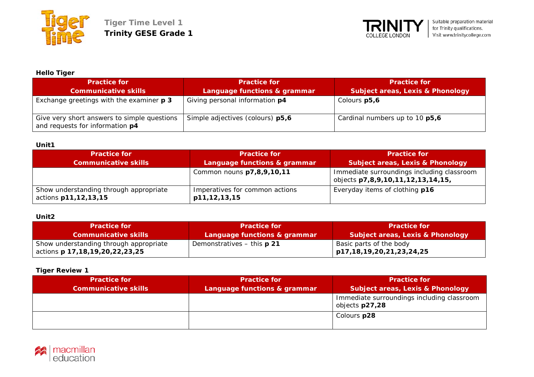



## **Hello Tiger**

| <b>Practice for</b>                                                            | <b>Practice for</b>              | <b>Practice for</b>                         |
|--------------------------------------------------------------------------------|----------------------------------|---------------------------------------------|
| <b>Communicative skills</b>                                                    | Language functions & grammar     | <b>Subject areas, Lexis &amp; Phonology</b> |
| Exchange greetings with the examiner <b>p 3</b>                                | Giving personal information p4   | Colours p5,6                                |
| Give very short answers to simple questions<br>and requests for information p4 | Simple adjectives (colours) p5,6 | Cardinal numbers up to 10 p5,6              |

## **Unit1**

| <b>Practice for</b>                                            | <b>Practice for</b>                            | <b>Practice for</b>                                                             |
|----------------------------------------------------------------|------------------------------------------------|---------------------------------------------------------------------------------|
| <b>Communicative skills</b>                                    | Language functions & grammar                   | <b>Subject areas, Lexis &amp; Phonology</b>                                     |
|                                                                | Common nouns p7,8,9,10,11                      | Immediate surroundings including classroom<br>objects p7,8,9,10,11,12,13,14,15, |
| Show understanding through appropriate<br>actions p11,12,13,15 | Imperatives for common actions<br>p11,12,13,15 | Everyday items of clothing p16                                                  |

# **Unit2**

| <b>Practice for</b>                                                             | <b>Practice for</b>               | <b>Practice for</b>                                   |
|---------------------------------------------------------------------------------|-----------------------------------|-------------------------------------------------------|
| <b>Communicative skills</b>                                                     | Language functions & grammar      | <b>Subject areas, Lexis &amp; Phonology</b>           |
| Show understanding through appropriate<br>actions <b>p 17,18,19,20,22,23,25</b> | Demonstratives - this <b>p 21</b> | Basic parts of the body<br>p17,18,19,20,21,23,24,25 p |

## **Tiger Review 1**

| <b>Practice for</b><br><b>Communicative skills</b> | <b>Practice for</b><br>Language functions & grammar | <b>Practice for</b><br><b>Subject areas, Lexis &amp; Phonology</b> |
|----------------------------------------------------|-----------------------------------------------------|--------------------------------------------------------------------|
|                                                    |                                                     | Immediate surroundings including classroom<br>objects p27,28       |
|                                                    |                                                     | Colours p28                                                        |

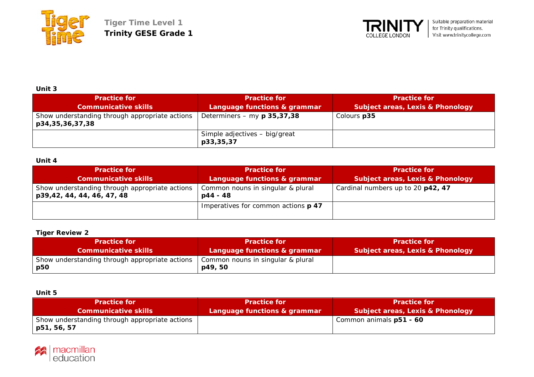



## **Unit 3**

| <b>Practice for</b><br><b>Communicative skills</b>                | <b>Practice for</b><br>Language functions & grammar | <b>Practice for</b><br><b>Subject areas, Lexis &amp; Phonology</b> |
|-------------------------------------------------------------------|-----------------------------------------------------|--------------------------------------------------------------------|
| Show understanding through appropriate actions<br>p34,35,36,37,38 | Determiners – my $p$ 35,37,38                       | Colours p35                                                        |
|                                                                   | Simple adjectives - big/great<br>p33,35,37          |                                                                    |

## **Unit 4**

| <b>Practice for</b>                                                          | <b>Practice for</b>                             | <b>Practice for</b>               |
|------------------------------------------------------------------------------|-------------------------------------------------|-----------------------------------|
| <b>Communicative skills</b>                                                  | Language functions & grammar                    | Subject areas, Lexis & Phonology  |
| Show understanding through appropriate actions<br>p39,42, 44, 44, 46, 47, 48 | Common nouns in singular & plural<br>$p44 - 48$ | Cardinal numbers up to 20 p42, 47 |
|                                                                              | Imperatives for common actions p 47             |                                   |

#### **Tiger Review 2**

| <b>Practice for</b>                                   | Practice for                                 | Practice for                                |
|-------------------------------------------------------|----------------------------------------------|---------------------------------------------|
| <b>Communicative skills</b>                           | Language functions & grammar                 | <b>Subject areas, Lexis &amp; Phonology</b> |
| Show understanding through appropriate actions<br>p50 | Common nouns in singular & plural<br>p49, 50 |                                             |

## **Unit 5**

| <b>Practice for</b>                                           | <b>Practice for</b>          | <b>Practice for</b>                         |
|---------------------------------------------------------------|------------------------------|---------------------------------------------|
| <b>Communicative skills</b>                                   | Language functions & grammar | <b>Subject areas, Lexis &amp; Phonology</b> |
| Show understanding through appropriate actions<br>p51, 56, 57 |                              | Common animals p51 - 60                     |

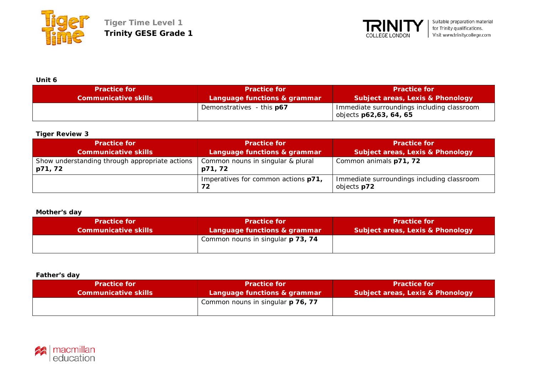



**Unit 6**

| ------<br><b>Practice for</b> | <b>Practice for</b>          | <b>Practice for</b>                                                  |
|-------------------------------|------------------------------|----------------------------------------------------------------------|
| <b>Communicative skills</b>   | Language functions & grammar | <b>Subject areas, Lexis &amp; Phonology</b>                          |
|                               | Demonstratives - this p67    | Immediate surroundings including classroom<br>objects p62,63, 64, 65 |

## **Tiger Review 3**

| <b>Practice for</b>                                       | <b>Practice for</b>                          | <b>Practice for</b>                                       |
|-----------------------------------------------------------|----------------------------------------------|-----------------------------------------------------------|
| <b>Communicative skills</b>                               | Language functions & grammar                 | <b>Subject areas, Lexis &amp; Phonology</b>               |
| Show understanding through appropriate actions<br>p71, 72 | Common nouns in singular & plural<br>p71, 72 | Common animals p71, 72                                    |
|                                                           | Imperatives for common actions p71,<br>72    | Immediate surroundings including classroom<br>objects p72 |

## **Mother's day**

| <b>Practice for</b>         | <b>Practice for</b>               | <b>Practice for</b>                         |
|-----------------------------|-----------------------------------|---------------------------------------------|
| <b>Communicative skills</b> | Language functions & grammar      | <b>Subject areas, Lexis &amp; Phonology</b> |
|                             | Common nouns in singular p 73, 74 |                                             |

#### **Father's day**

| <b>Practice for</b>         | <b>Practice for</b>               | <b>Practice for</b>                         |
|-----------------------------|-----------------------------------|---------------------------------------------|
| <b>Communicative skills</b> | Language functions & grammar      | <b>Subject areas, Lexis &amp; Phonology</b> |
|                             | Common nouns in singular p 76, 77 |                                             |